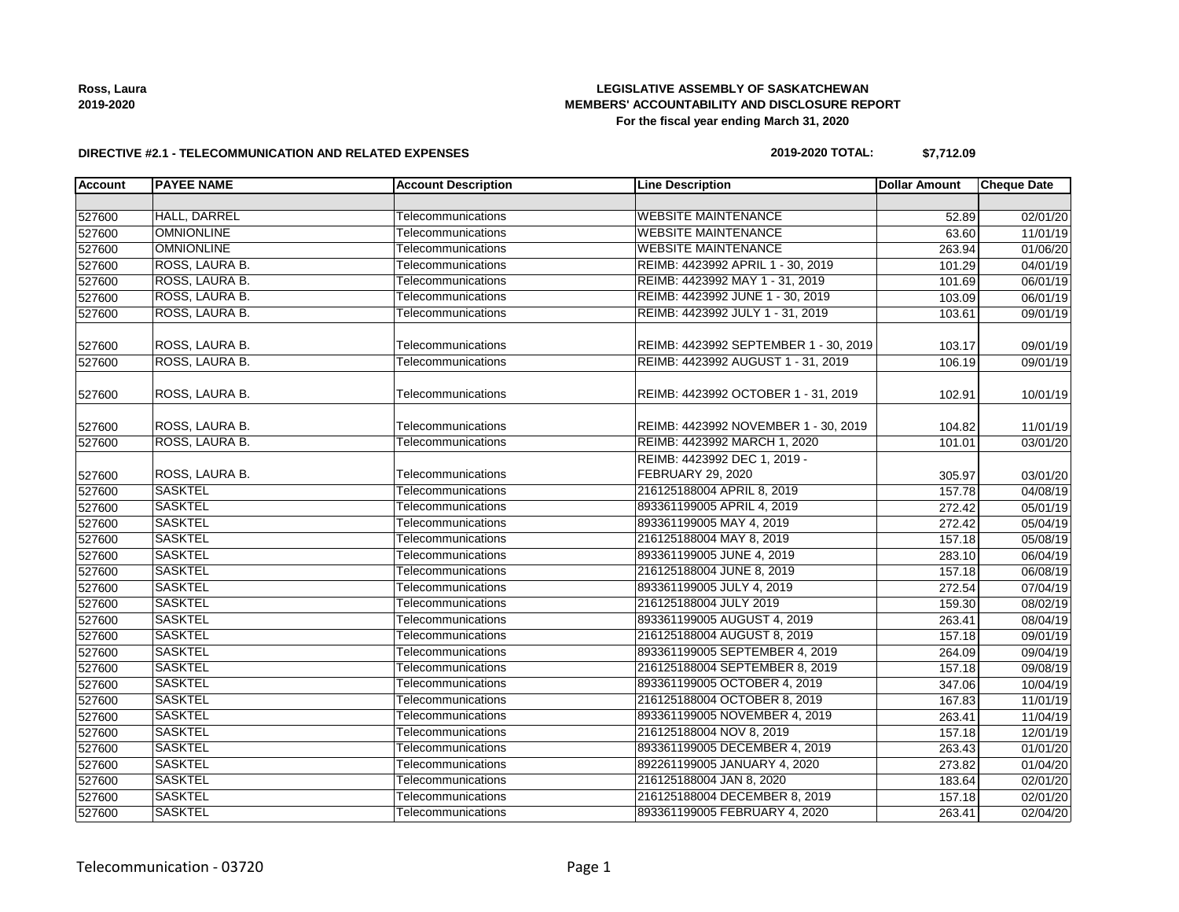

# **LEGISLATIVE ASSEMBLY OF SASKATCHEWAN MEMBERS' ACCOUNTABILITY AND DISCLOSURE REPORT For the fiscal year ending March 31, 2020**

#### **DIRECTIVE #2.1 - TELECOMMUNICATION AND RELATED EXPENSES**

# **2019-2020 TOTAL: \$7,712.09**

| <b>Account</b> | <b>PAYEE NAME</b> | <b>Account Description</b> | <b>Line Description</b>               | <b>Dollar Amount</b> | <b>Cheque Date</b> |
|----------------|-------------------|----------------------------|---------------------------------------|----------------------|--------------------|
|                |                   |                            |                                       |                      |                    |
| 527600         | HALL, DARREL      | Telecommunications         | <b>WEBSITE MAINTENANCE</b>            | 52.89                | 02/01/20           |
| 527600         | <b>OMNIONLINE</b> | Telecommunications         | <b>WEBSITE MAINTENANCE</b>            | 63.60                | 11/01/19           |
| 527600         | <b>OMNIONLINE</b> | Telecommunications         | <b>WEBSITE MAINTENANCE</b>            | 263.94               | 01/06/20           |
| 527600         | ROSS, LAURA B.    | Telecommunications         | REIMB: 4423992 APRIL 1 - 30, 2019     | 101.29               | 04/01/19           |
| 527600         | ROSS, LAURA B.    | Telecommunications         | REIMB: 4423992 MAY 1 - 31, 2019       | 101.69               | 06/01/19           |
| 527600         | ROSS, LAURA B.    | Telecommunications         | REIMB: 4423992 JUNE 1 - 30, 2019      | 103.09               | 06/01/19           |
| 527600         | ROSS, LAURA B.    | Telecommunications         | REIMB: 4423992 JULY 1 - 31, 2019      | 103.61               | 09/01/19           |
|                |                   |                            |                                       |                      |                    |
| 527600         | ROSS, LAURA B.    | Telecommunications         | REIMB: 4423992 SEPTEMBER 1 - 30, 2019 | 103.17               | 09/01/19           |
| 527600         | ROSS, LAURA B.    | Telecommunications         | REIMB: 4423992 AUGUST 1 - 31, 2019    | 106.19               | 09/01/19           |
| 527600         | ROSS, LAURA B.    | Telecommunications         | REIMB: 4423992 OCTOBER 1 - 31, 2019   | 102.91               | 10/01/19           |
| 527600         | ROSS, LAURA B.    | Telecommunications         | REIMB: 4423992 NOVEMBER 1 - 30, 2019  | 104.82               | 11/01/19           |
| 527600         | ROSS, LAURA B.    | Telecommunications         | REIMB: 4423992 MARCH 1, 2020          | 101.01               | 03/01/20           |
|                |                   |                            | REIMB: 4423992 DEC 1, 2019 -          |                      |                    |
| 527600         | ROSS, LAURA B.    | Telecommunications         | <b>FEBRUARY 29, 2020</b>              | 305.97               | 03/01/20           |
| 527600         | <b>SASKTEL</b>    | Telecommunications         | 216125188004 APRIL 8, 2019            | 157.78               | 04/08/19           |
| 527600         | <b>SASKTEL</b>    | Telecommunications         | 893361199005 APRIL 4, 2019            | 272.42               | 05/01/19           |
| 527600         | <b>SASKTEL</b>    | Telecommunications         | 893361199005 MAY 4, 2019              | 272.42               | 05/04/19           |
| 527600         | <b>SASKTEL</b>    | Telecommunications         | 216125188004 MAY 8, 2019              | 157.18               | 05/08/19           |
| 527600         | <b>SASKTEL</b>    | Telecommunications         | 893361199005 JUNE 4, 2019             | 283.10               | 06/04/19           |
| 527600         | <b>SASKTEL</b>    | Telecommunications         | 216125188004 JUNE 8, 2019             | 157.18               | 06/08/19           |
| 527600         | <b>SASKTEL</b>    | Telecommunications         | 893361199005 JULY 4, 2019             | 272.54               | 07/04/19           |
| 527600         | <b>SASKTEL</b>    | Telecommunications         | 216125188004 JULY 2019                | 159.30               | 08/02/19           |
| 527600         | <b>SASKTEL</b>    | Telecommunications         | 893361199005 AUGUST 4, 2019           | 263.41               | 08/04/19           |
| 527600         | <b>SASKTEL</b>    | Telecommunications         | 216125188004 AUGUST 8, 2019           | 157.18               | 09/01/19           |
| 527600         | <b>SASKTEL</b>    | Telecommunications         | 893361199005 SEPTEMBER 4, 2019        | 264.09               | 09/04/19           |
| 527600         | <b>SASKTEL</b>    | Telecommunications         | 216125188004 SEPTEMBER 8, 2019        | 157.18               | 09/08/19           |
| 527600         | <b>SASKTEL</b>    | Telecommunications         | 893361199005 OCTOBER 4, 2019          | 347.06               | 10/04/19           |
| 527600         | <b>SASKTEL</b>    | Telecommunications         | 216125188004 OCTOBER 8, 2019          | 167.83               | 11/01/19           |
| 527600         | <b>SASKTEL</b>    | Telecommunications         | 893361199005 NOVEMBER 4, 2019         | 263.41               | 11/04/19           |
| 527600         | <b>SASKTEL</b>    | Telecommunications         | 216125188004 NOV 8, 2019              | 157.18               | 12/01/19           |
| 527600         | <b>SASKTEL</b>    | Telecommunications         | 893361199005 DECEMBER 4, 2019         | 263.43               | 01/01/20           |
| 527600         | <b>SASKTEL</b>    | Telecommunications         | 892261199005 JANUARY 4, 2020          | 273.82               | 01/04/20           |
| 527600         | <b>SASKTEL</b>    | Telecommunications         | 216125188004 JAN 8, 2020              | 183.64               | 02/01/20           |
| 527600         | <b>SASKTEL</b>    | Telecommunications         | 216125188004 DECEMBER 8, 2019         | 157.18               | 02/01/20           |
| 527600         | <b>SASKTEL</b>    | Telecommunications         | 893361199005 FEBRUARY 4, 2020         | 263.41               | 02/04/20           |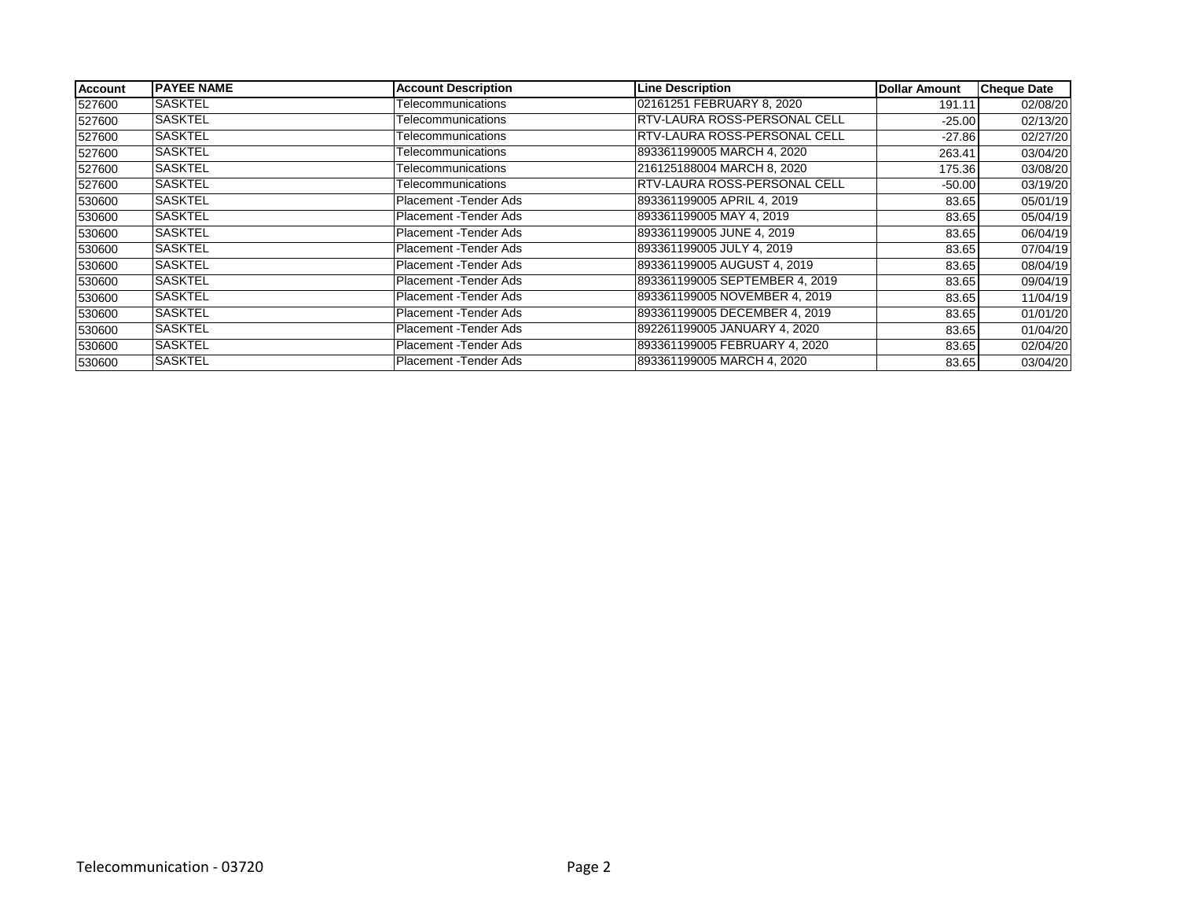| <b>Account</b> | <b>PAYEE NAME</b> | <b>Account Description</b> | <b>Line Description</b>             | <b>Dollar Amount</b> | <b>Cheque Date</b> |
|----------------|-------------------|----------------------------|-------------------------------------|----------------------|--------------------|
| 527600         | <b>SASKTEL</b>    | Telecommunications         | 02161251 FEBRUARY 8, 2020           | 191.11               | 02/08/20           |
| 527600         | <b>SASKTEL</b>    | Telecommunications         | RTV-LAURA ROSS-PERSONAL CELL        | $-25.00$             | 02/13/20           |
| 527600         | <b>SASKTEL</b>    | Telecommunications         | <b>RTV-LAURA ROSS-PERSONAL CELL</b> | $-27.86$             | 02/27/20           |
| 527600         | <b>SASKTEL</b>    | Telecommunications         | 893361199005 MARCH 4, 2020          | 263.41               | 03/04/20           |
| 527600         | <b>SASKTEL</b>    | Telecommunications         | 216125188004 MARCH 8, 2020          | 175.36               | 03/08/20           |
| 527600         | <b>SASKTEL</b>    | Telecommunications         | <b>RTV-LAURA ROSS-PERSONAL CELL</b> | $-50.00$             | 03/19/20           |
| 530600         | <b>SASKTEL</b>    | Placement - Tender Ads     | 893361199005 APRIL 4, 2019          | 83.65                | 05/01/19           |
| 530600         | <b>SASKTEL</b>    | Placement - Tender Ads     | 893361199005 MAY 4, 2019            | 83.65                | 05/04/19           |
| 530600         | ISASKTEL          | Placement - Tender Ads     | 893361199005 JUNE 4, 2019           | 83.65                | 06/04/19           |
| 530600         | <b>SASKTEL</b>    | Placement - Tender Ads     | 893361199005 JULY 4, 2019           | 83.65                | 07/04/19           |
| 530600         | ISASKTEL          | Placement - Tender Ads     | 893361199005 AUGUST 4, 2019         | 83.65                | 08/04/19           |
| 530600         | <b>SASKTEL</b>    | Placement - Tender Ads     | 893361199005 SEPTEMBER 4, 2019      | 83.65                | 09/04/19           |
| 530600         | <b>SASKTEL</b>    | Placement - Tender Ads     | 893361199005 NOVEMBER 4, 2019       | 83.65                | 11/04/19           |
| 530600         | <b>SASKTEL</b>    | Placement - Tender Ads     | 893361199005 DECEMBER 4, 2019       | 83.65                | 01/01/20           |
| 530600         | SASKTEL           | Placement - Tender Ads     | 892261199005 JANUARY 4, 2020        | 83.65                | 01/04/20           |
| 530600         | <b>SASKTEL</b>    | Placement - Tender Ads     | 893361199005 FEBRUARY 4, 2020       | 83.65                | 02/04/20           |
| 530600         | <b>SASKTEL</b>    | Placement - Tender Ads     | 893361199005 MARCH 4, 2020          | 83.65                | 03/04/20           |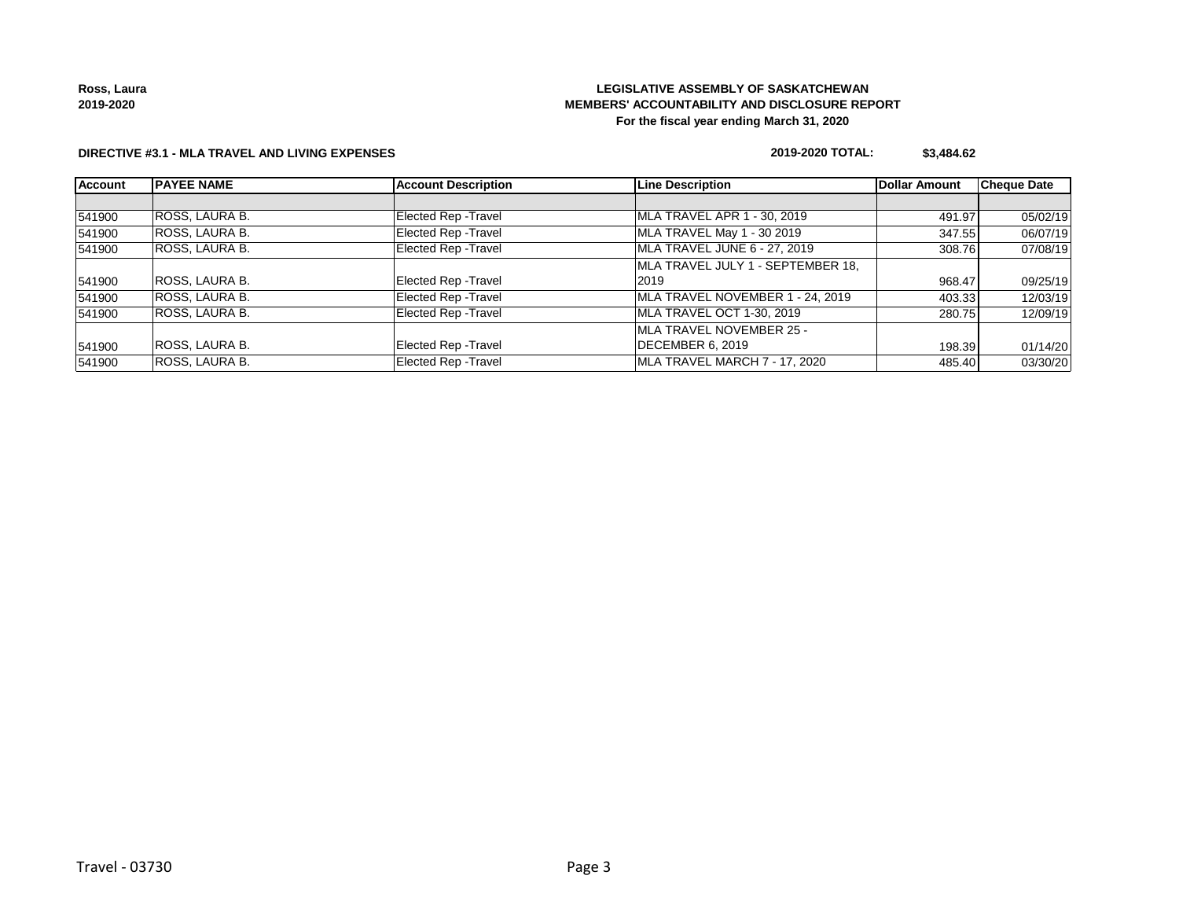**Ross, Laura 2019-2020**

# **LEGISLATIVE ASSEMBLY OF SASKATCHEWAN MEMBERS' ACCOUNTABILITY AND DISCLOSURE REPORT For the fiscal year ending March 31, 2020**

## **DIRECTIVE #3.1 - MLA TRAVEL AND LIVING EXPENSES**

# **2019-2020 TOTAL: \$3,484.62**

| <b>Account</b> | <b>PAYEE NAME</b>     | <b>Account Description</b> | <b>Line Description</b>           | <b>Dollar Amount</b> | <b>Cheque Date</b> |
|----------------|-----------------------|----------------------------|-----------------------------------|----------------------|--------------------|
|                |                       |                            |                                   |                      |                    |
| 541900         | ROSS, LAURA B.        | Elected Rep - Travel       | MLA TRAVEL APR 1 - 30, 2019       | 491.97               | 05/02/19           |
| 541900         | ROSS, LAURA B.        | Elected Rep - Travel       | MLA TRAVEL May 1 - 30 2019        | 347.55               | 06/07/19           |
| 541900         | <b>ROSS, LAURA B.</b> | Elected Rep - Travel       | MLA TRAVEL JUNE 6 - 27, 2019      | 308.76               | 07/08/19           |
|                |                       |                            | MLA TRAVEL JULY 1 - SEPTEMBER 18, |                      |                    |
| 541900         | ROSS, LAURA B.        | Elected Rep - Travel       | 2019                              | 968.47               | 09/25/19           |
| 541900         | ROSS, LAURA B.        | Elected Rep - Travel       | MLA TRAVEL NOVEMBER 1 - 24, 2019  | 403.33               | 12/03/19           |
| 541900         | ROSS, LAURA B.        | Elected Rep - Travel       | MLA TRAVEL OCT 1-30, 2019         | 280.75               | 12/09/19           |
|                |                       |                            | MLA TRAVEL NOVEMBER 25 -          |                      |                    |
| 541900         | ROSS, LAURA B.        | Elected Rep - Travel       | DECEMBER 6, 2019                  | 198.39               | 01/14/20           |
| 541900         | <b>ROSS, LAURA B.</b> | Elected Rep - Travel       | MLA TRAVEL MARCH 7 - 17, 2020     | 485.40               | 03/30/20           |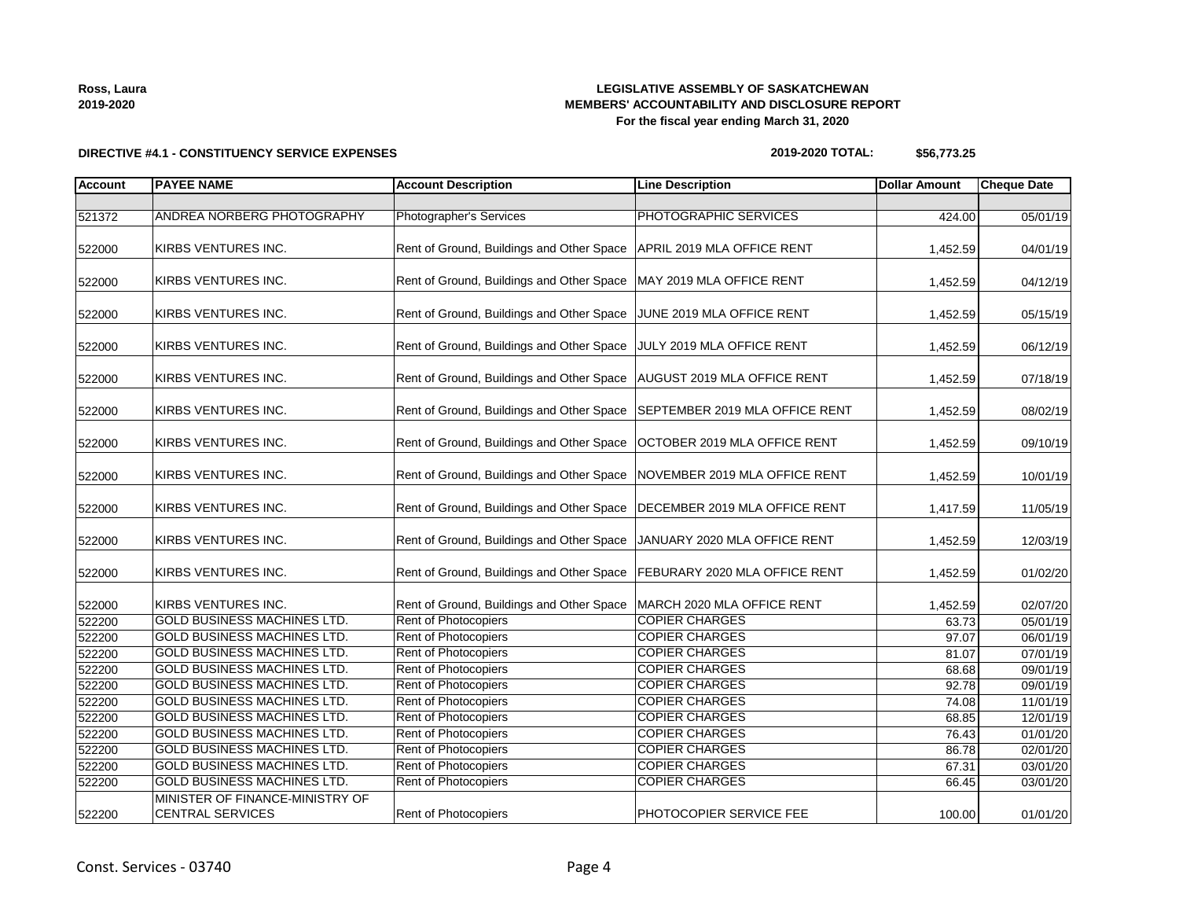| Ross, Laura |  |
|-------------|--|
| 2019-2020   |  |

# **LEGISLATIVE ASSEMBLY OF SASKATCHEWAN MEMBERS' ACCOUNTABILITY AND DISCLOSURE REPORT For the fiscal year ending March 31, 2020**

**2019-2020 TOTAL: \$56,773.25**

| <b>Account</b> | <b>PAYEE NAME</b>                                          | <b>Account Description</b>                                                 | <b>Line Description</b>       | <b>Dollar Amount</b> | <b>Cheque Date</b> |
|----------------|------------------------------------------------------------|----------------------------------------------------------------------------|-------------------------------|----------------------|--------------------|
|                |                                                            |                                                                            |                               |                      |                    |
| 521372         | ANDREA NORBERG PHOTOGRAPHY                                 | Photographer's Services                                                    | PHOTOGRAPHIC SERVICES         | 424.00               | 05/01/19           |
| 522000         | KIRBS VENTURES INC.                                        | Rent of Ground, Buildings and Other Space   APRIL 2019 MLA OFFICE RENT     |                               | 1,452.59             | 04/01/19           |
| 522000         | KIRBS VENTURES INC.                                        | Rent of Ground, Buildings and Other Space   MAY 2019 MLA OFFICE RENT       |                               | 1,452.59             | 04/12/19           |
| 522000         | KIRBS VENTURES INC.                                        | Rent of Ground, Buildings and Other Space                                  | JUNE 2019 MLA OFFICE RENT     | 1,452.59             | 05/15/19           |
| 522000         | KIRBS VENTURES INC.                                        | Rent of Ground, Buildings and Other Space                                  | JULY 2019 MLA OFFICE RENT     | 1,452.59             | 06/12/19           |
| 522000         | KIRBS VENTURES INC.                                        | Rent of Ground, Buildings and Other Space   AUGUST 2019 MLA OFFICE RENT    |                               | 1,452.59             | 07/18/19           |
| 522000         | KIRBS VENTURES INC.                                        | Rent of Ground, Buildings and Other Space   SEPTEMBER 2019 MLA OFFICE RENT |                               | 1,452.59             | 08/02/19           |
| 522000         | KIRBS VENTURES INC.                                        | Rent of Ground, Buildings and Other Space   OCTOBER 2019 MLA OFFICE RENT   |                               | 1,452.59             | 09/10/19           |
| 522000         | KIRBS VENTURES INC.                                        | Rent of Ground, Buildings and Other Space                                  | NOVEMBER 2019 MLA OFFICE RENT | 1,452.59             | 10/01/19           |
| 522000         | KIRBS VENTURES INC.                                        | Rent of Ground, Buildings and Other Space   DECEMBER 2019 MLA OFFICE RENT  |                               | 1,417.59             | 11/05/19           |
| 522000         | KIRBS VENTURES INC.                                        | Rent of Ground, Buildings and Other Space                                  | JANUARY 2020 MLA OFFICE RENT  | 1,452.59             | 12/03/19           |
| 522000         | KIRBS VENTURES INC.                                        | Rent of Ground, Buildings and Other Space   FEBURARY 2020 MLA OFFICE RENT  |                               | 1,452.59             | 01/02/20           |
| 522000         | KIRBS VENTURES INC.                                        | Rent of Ground, Buildings and Other Space                                  | MARCH 2020 MLA OFFICE RENT    | 1,452.59             | 02/07/20           |
| 522200         | <b>GOLD BUSINESS MACHINES LTD.</b>                         | <b>Rent of Photocopiers</b>                                                | <b>COPIER CHARGES</b>         | 63.73                | 05/01/19           |
| 522200         | GOLD BUSINESS MACHINES LTD.                                | Rent of Photocopiers                                                       | <b>COPIER CHARGES</b>         | 97.07                | 06/01/19           |
| 522200         | <b>GOLD BUSINESS MACHINES LTD.</b>                         | Rent of Photocopiers                                                       | <b>COPIER CHARGES</b>         | 81.07                | 07/01/19           |
| 522200         | GOLD BUSINESS MACHINES LTD.                                | Rent of Photocopiers                                                       | <b>COPIER CHARGES</b>         | 68.68                | 09/01/19           |
| 522200         | <b>GOLD BUSINESS MACHINES LTD.</b>                         | Rent of Photocopiers                                                       | <b>COPIER CHARGES</b>         | 92.78                | 09/01/19           |
| 522200         | <b>GOLD BUSINESS MACHINES LTD.</b>                         | Rent of Photocopiers                                                       | <b>COPIER CHARGES</b>         | 74.08                | 11/01/19           |
| 522200         | GOLD BUSINESS MACHINES LTD.                                | Rent of Photocopiers                                                       | <b>COPIER CHARGES</b>         | 68.85                | 12/01/19           |
| 522200         | <b>GOLD BUSINESS MACHINES LTD.</b>                         | Rent of Photocopiers                                                       | <b>COPIER CHARGES</b>         | 76.43                | 01/01/20           |
| 522200         | GOLD BUSINESS MACHINES LTD.                                | Rent of Photocopiers                                                       | <b>COPIER CHARGES</b>         | 86.78                | 02/01/20           |
| 522200         | GOLD BUSINESS MACHINES LTD.                                | Rent of Photocopiers                                                       | <b>COPIER CHARGES</b>         | 67.31                | 03/01/20           |
| 522200         | <b>GOLD BUSINESS MACHINES LTD.</b>                         | Rent of Photocopiers                                                       | <b>COPIER CHARGES</b>         | 66.45                | 03/01/20           |
| 522200         | MINISTER OF FINANCE-MINISTRY OF<br><b>CENTRAL SERVICES</b> | Rent of Photocopiers                                                       | PHOTOCOPIER SERVICE FEE       | 100.00               | 01/01/20           |

## **DIRECTIVE #4.1 - CONSTITUENCY SERVICE EXPENSES**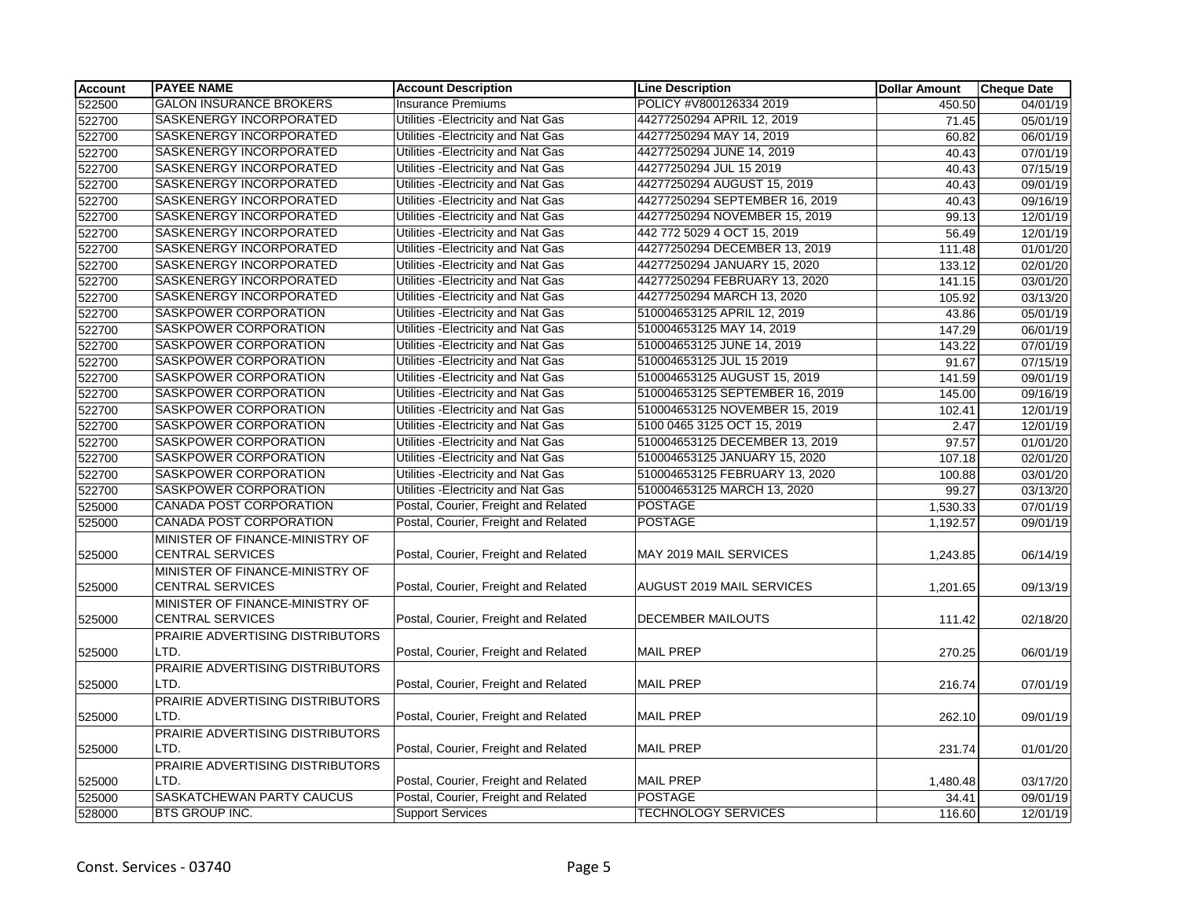| <b>GALON INSURANCE BROKERS</b><br><b>Insurance Premiums</b><br>POLICY #V800126334 2019<br>450.50<br>04/01/19<br>SASKENERGY INCORPORATED<br>Utilities - Electricity and Nat Gas<br>44277250294 APRIL 12, 2019<br>71.45<br>$\overline{05/01/19}$<br>Utilities - Electricity and Nat Gas<br>SASKENERGY INCORPORATED<br>44277250294 MAY 14, 2019<br>60.82<br>06/01/19<br>Utilities - Electricity and Nat Gas<br>SASKENERGY INCORPORATED<br>44277250294 JUNE 14, 2019<br>07/01/19<br>40.43<br>SASKENERGY INCORPORATED<br>Utilities - Electricity and Nat Gas<br>44277250294 JUL 15 2019<br>07/15/19<br>40.43<br>Utilities - Electricity and Nat Gas<br>09/01/19<br>SASKENERGY INCORPORATED<br>44277250294 AUGUST 15, 2019<br>40.43<br>Utilities - Electricity and Nat Gas<br>SASKENERGY INCORPORATED<br>44277250294 SEPTEMBER 16, 2019<br>09/16/19<br>40.43<br>SASKENERGY INCORPORATED<br>Utilities - Electricity and Nat Gas<br>44277250294 NOVEMBER 15, 2019<br>99.13<br>12/01/19<br>SASKENERGY INCORPORATED<br>Utilities - Electricity and Nat Gas<br>442 772 5029 4 OCT 15, 2019<br>12/01/19<br>56.49<br>Utilities - Electricity and Nat Gas<br>SASKENERGY INCORPORATED<br>44277250294 DECEMBER 13, 2019<br>01/01/20<br>111.48<br>Utilities - Electricity and Nat Gas<br>SASKENERGY INCORPORATED<br>44277250294 JANUARY 15, 2020<br>02/01/20<br>133.12<br>Utilities - Electricity and Nat Gas<br>SASKENERGY INCORPORATED<br>44277250294 FEBRUARY 13, 2020<br>03/01/20<br>141.15<br>Utilities - Electricity and Nat Gas<br>44277250294 MARCH 13, 2020<br>SASKENERGY INCORPORATED<br>03/13/20<br>105.92<br>SASKPOWER CORPORATION<br>Utilities - Electricity and Nat Gas<br>510004653125 APRIL 12, 2019<br>05/01/19<br>43.86<br>SASKPOWER CORPORATION<br>Utilities - Electricity and Nat Gas<br>510004653125 MAY 14, 2019<br>06/01/19<br>147.29<br>Utilities - Electricity and Nat Gas<br>SASKPOWER CORPORATION<br>510004653125 JUNE 14, 2019<br>143.22<br>07/01/19<br>SASKPOWER CORPORATION<br>Utilities - Electricity and Nat Gas<br>510004653125 JUL 15 2019<br>07/15/19<br>91.67<br>SASKPOWER CORPORATION<br>Utilities - Electricity and Nat Gas<br>510004653125 AUGUST 15, 2019<br>09/01/19<br>141.59<br>Utilities - Electricity and Nat Gas<br>SASKPOWER CORPORATION<br>510004653125 SEPTEMBER 16, 2019<br>09/16/19<br>145.00<br>Utilities - Electricity and Nat Gas<br>SASKPOWER CORPORATION<br>510004653125 NOVEMBER 15, 2019<br>12/01/19<br>102.41<br>Utilities - Electricity and Nat Gas<br>5100 0465 3125 OCT 15, 2019<br>12/01/19<br>SASKPOWER CORPORATION<br>2.47<br>SASKPOWER CORPORATION<br>Utilities - Electricity and Nat Gas<br>97.57<br>510004653125 DECEMBER 13, 2019<br>01/01/20<br>SASKPOWER CORPORATION<br>Utilities - Electricity and Nat Gas<br>02/01/20<br>510004653125 JANUARY 15, 2020<br>107.18<br>Utilities - Electricity and Nat Gas<br>SASKPOWER CORPORATION<br>510004653125 FEBRUARY 13, 2020<br>03/01/20<br>100.88<br>Utilities - Electricity and Nat Gas<br>SASKPOWER CORPORATION<br>510004653125 MARCH 13, 2020<br>99.27<br>03/13/20<br><b>POSTAGE</b><br><b>CANADA POST CORPORATION</b><br>Postal, Courier, Freight and Related<br>07/01/19<br>1,530.33<br><b>POSTAGE</b><br>CANADA POST CORPORATION<br>Postal, Courier, Freight and Related<br>09/01/19<br>1,192.57<br>MINISTER OF FINANCE-MINISTRY OF<br><b>CENTRAL SERVICES</b><br>Postal, Courier, Freight and Related<br>MAY 2019 MAIL SERVICES<br>06/14/19<br>1,243.85<br>MINISTER OF FINANCE-MINISTRY OF<br><b>CENTRAL SERVICES</b><br>Postal, Courier, Freight and Related<br><b>AUGUST 2019 MAIL SERVICES</b><br>1,201.65<br>09/13/19<br>MINISTER OF FINANCE-MINISTRY OF<br><b>CENTRAL SERVICES</b><br>Postal, Courier, Freight and Related<br>DECEMBER MAILOUTS<br>02/18/20<br>111.42<br>PRAIRIE ADVERTISING DISTRIBUTORS<br>Postal, Courier, Freight and Related<br><b>MAIL PREP</b><br>LTD.<br>06/01/19<br>270.25<br>PRAIRIE ADVERTISING DISTRIBUTORS<br><b>MAIL PREP</b><br>Postal, Courier, Freight and Related<br>LTD.<br>216.74<br>07/01/19<br>PRAIRIE ADVERTISING DISTRIBUTORS<br>Postal, Courier, Freight and Related<br><b>MAIL PREP</b><br>LTD.<br>262.10<br>09/01/19<br>PRAIRIE ADVERTISING DISTRIBUTORS<br>Postal, Courier, Freight and Related<br><b>MAIL PREP</b><br>LTD.<br>231.74<br>01/01/20<br>PRAIRIE ADVERTISING DISTRIBUTORS<br><b>MAIL PREP</b><br>LTD.<br>Postal, Courier, Freight and Related<br>525000<br>1,480.48<br>03/17/20<br>Postal, Courier, Freight and Related<br><b>POSTAGE</b><br>SASKATCHEWAN PARTY CAUCUS<br>09/01/19<br>34.41<br>BTS GROUP INC.<br><b>Support Services</b><br><b>TECHNOLOGY SERVICES</b><br>116.60 | <b>Account</b> | <b>PAYEE NAME</b> | <b>Account Description</b> | <b>Line Description</b> | <b>Dollar Amount</b> | <b>Cheque Date</b> |
|-----------------------------------------------------------------------------------------------------------------------------------------------------------------------------------------------------------------------------------------------------------------------------------------------------------------------------------------------------------------------------------------------------------------------------------------------------------------------------------------------------------------------------------------------------------------------------------------------------------------------------------------------------------------------------------------------------------------------------------------------------------------------------------------------------------------------------------------------------------------------------------------------------------------------------------------------------------------------------------------------------------------------------------------------------------------------------------------------------------------------------------------------------------------------------------------------------------------------------------------------------------------------------------------------------------------------------------------------------------------------------------------------------------------------------------------------------------------------------------------------------------------------------------------------------------------------------------------------------------------------------------------------------------------------------------------------------------------------------------------------------------------------------------------------------------------------------------------------------------------------------------------------------------------------------------------------------------------------------------------------------------------------------------------------------------------------------------------------------------------------------------------------------------------------------------------------------------------------------------------------------------------------------------------------------------------------------------------------------------------------------------------------------------------------------------------------------------------------------------------------------------------------------------------------------------------------------------------------------------------------------------------------------------------------------------------------------------------------------------------------------------------------------------------------------------------------------------------------------------------------------------------------------------------------------------------------------------------------------------------------------------------------------------------------------------------------------------------------------------------------------------------------------------------------------------------------------------------------------------------------------------------------------------------------------------------------------------------------------------------------------------------------------------------------------------------------------------------------------------------------------------------------------------------------------------------------------------------------------------------------------------------------------------------------------------------------------------------------------------------------------------------------------------------------------------------------------------------------------------------------------------------------------------------------------------------------------------------------------------------------------------------------------------------------------------------------------------------------------------------------------------------------------------------------------------------------------------------------------------------------------------------------------------------------------------------------------------------------------------------------------------------------------------------------------------------------------------------------------------------------------------------------------------------------------------------------------------------------------------------------------------------------------|----------------|-------------------|----------------------------|-------------------------|----------------------|--------------------|
|                                                                                                                                                                                                                                                                                                                                                                                                                                                                                                                                                                                                                                                                                                                                                                                                                                                                                                                                                                                                                                                                                                                                                                                                                                                                                                                                                                                                                                                                                                                                                                                                                                                                                                                                                                                                                                                                                                                                                                                                                                                                                                                                                                                                                                                                                                                                                                                                                                                                                                                                                                                                                                                                                                                                                                                                                                                                                                                                                                                                                                                                                                                                                                                                                                                                                                                                                                                                                                                                                                                                                                                                                                                                                                                                                                                                                                                                                                                                                                                                                                                                                                                                                                                                                                                                                                                                                                                                                                                                                                                                                                                                                                                     | 522500         |                   |                            |                         |                      |                    |
|                                                                                                                                                                                                                                                                                                                                                                                                                                                                                                                                                                                                                                                                                                                                                                                                                                                                                                                                                                                                                                                                                                                                                                                                                                                                                                                                                                                                                                                                                                                                                                                                                                                                                                                                                                                                                                                                                                                                                                                                                                                                                                                                                                                                                                                                                                                                                                                                                                                                                                                                                                                                                                                                                                                                                                                                                                                                                                                                                                                                                                                                                                                                                                                                                                                                                                                                                                                                                                                                                                                                                                                                                                                                                                                                                                                                                                                                                                                                                                                                                                                                                                                                                                                                                                                                                                                                                                                                                                                                                                                                                                                                                                                     | 522700         |                   |                            |                         |                      |                    |
|                                                                                                                                                                                                                                                                                                                                                                                                                                                                                                                                                                                                                                                                                                                                                                                                                                                                                                                                                                                                                                                                                                                                                                                                                                                                                                                                                                                                                                                                                                                                                                                                                                                                                                                                                                                                                                                                                                                                                                                                                                                                                                                                                                                                                                                                                                                                                                                                                                                                                                                                                                                                                                                                                                                                                                                                                                                                                                                                                                                                                                                                                                                                                                                                                                                                                                                                                                                                                                                                                                                                                                                                                                                                                                                                                                                                                                                                                                                                                                                                                                                                                                                                                                                                                                                                                                                                                                                                                                                                                                                                                                                                                                                     | 522700         |                   |                            |                         |                      |                    |
|                                                                                                                                                                                                                                                                                                                                                                                                                                                                                                                                                                                                                                                                                                                                                                                                                                                                                                                                                                                                                                                                                                                                                                                                                                                                                                                                                                                                                                                                                                                                                                                                                                                                                                                                                                                                                                                                                                                                                                                                                                                                                                                                                                                                                                                                                                                                                                                                                                                                                                                                                                                                                                                                                                                                                                                                                                                                                                                                                                                                                                                                                                                                                                                                                                                                                                                                                                                                                                                                                                                                                                                                                                                                                                                                                                                                                                                                                                                                                                                                                                                                                                                                                                                                                                                                                                                                                                                                                                                                                                                                                                                                                                                     | 522700         |                   |                            |                         |                      |                    |
|                                                                                                                                                                                                                                                                                                                                                                                                                                                                                                                                                                                                                                                                                                                                                                                                                                                                                                                                                                                                                                                                                                                                                                                                                                                                                                                                                                                                                                                                                                                                                                                                                                                                                                                                                                                                                                                                                                                                                                                                                                                                                                                                                                                                                                                                                                                                                                                                                                                                                                                                                                                                                                                                                                                                                                                                                                                                                                                                                                                                                                                                                                                                                                                                                                                                                                                                                                                                                                                                                                                                                                                                                                                                                                                                                                                                                                                                                                                                                                                                                                                                                                                                                                                                                                                                                                                                                                                                                                                                                                                                                                                                                                                     | 522700         |                   |                            |                         |                      |                    |
|                                                                                                                                                                                                                                                                                                                                                                                                                                                                                                                                                                                                                                                                                                                                                                                                                                                                                                                                                                                                                                                                                                                                                                                                                                                                                                                                                                                                                                                                                                                                                                                                                                                                                                                                                                                                                                                                                                                                                                                                                                                                                                                                                                                                                                                                                                                                                                                                                                                                                                                                                                                                                                                                                                                                                                                                                                                                                                                                                                                                                                                                                                                                                                                                                                                                                                                                                                                                                                                                                                                                                                                                                                                                                                                                                                                                                                                                                                                                                                                                                                                                                                                                                                                                                                                                                                                                                                                                                                                                                                                                                                                                                                                     | 522700         |                   |                            |                         |                      |                    |
|                                                                                                                                                                                                                                                                                                                                                                                                                                                                                                                                                                                                                                                                                                                                                                                                                                                                                                                                                                                                                                                                                                                                                                                                                                                                                                                                                                                                                                                                                                                                                                                                                                                                                                                                                                                                                                                                                                                                                                                                                                                                                                                                                                                                                                                                                                                                                                                                                                                                                                                                                                                                                                                                                                                                                                                                                                                                                                                                                                                                                                                                                                                                                                                                                                                                                                                                                                                                                                                                                                                                                                                                                                                                                                                                                                                                                                                                                                                                                                                                                                                                                                                                                                                                                                                                                                                                                                                                                                                                                                                                                                                                                                                     | 522700         |                   |                            |                         |                      |                    |
|                                                                                                                                                                                                                                                                                                                                                                                                                                                                                                                                                                                                                                                                                                                                                                                                                                                                                                                                                                                                                                                                                                                                                                                                                                                                                                                                                                                                                                                                                                                                                                                                                                                                                                                                                                                                                                                                                                                                                                                                                                                                                                                                                                                                                                                                                                                                                                                                                                                                                                                                                                                                                                                                                                                                                                                                                                                                                                                                                                                                                                                                                                                                                                                                                                                                                                                                                                                                                                                                                                                                                                                                                                                                                                                                                                                                                                                                                                                                                                                                                                                                                                                                                                                                                                                                                                                                                                                                                                                                                                                                                                                                                                                     | 522700         |                   |                            |                         |                      |                    |
|                                                                                                                                                                                                                                                                                                                                                                                                                                                                                                                                                                                                                                                                                                                                                                                                                                                                                                                                                                                                                                                                                                                                                                                                                                                                                                                                                                                                                                                                                                                                                                                                                                                                                                                                                                                                                                                                                                                                                                                                                                                                                                                                                                                                                                                                                                                                                                                                                                                                                                                                                                                                                                                                                                                                                                                                                                                                                                                                                                                                                                                                                                                                                                                                                                                                                                                                                                                                                                                                                                                                                                                                                                                                                                                                                                                                                                                                                                                                                                                                                                                                                                                                                                                                                                                                                                                                                                                                                                                                                                                                                                                                                                                     | 522700         |                   |                            |                         |                      |                    |
|                                                                                                                                                                                                                                                                                                                                                                                                                                                                                                                                                                                                                                                                                                                                                                                                                                                                                                                                                                                                                                                                                                                                                                                                                                                                                                                                                                                                                                                                                                                                                                                                                                                                                                                                                                                                                                                                                                                                                                                                                                                                                                                                                                                                                                                                                                                                                                                                                                                                                                                                                                                                                                                                                                                                                                                                                                                                                                                                                                                                                                                                                                                                                                                                                                                                                                                                                                                                                                                                                                                                                                                                                                                                                                                                                                                                                                                                                                                                                                                                                                                                                                                                                                                                                                                                                                                                                                                                                                                                                                                                                                                                                                                     | 522700         |                   |                            |                         |                      |                    |
|                                                                                                                                                                                                                                                                                                                                                                                                                                                                                                                                                                                                                                                                                                                                                                                                                                                                                                                                                                                                                                                                                                                                                                                                                                                                                                                                                                                                                                                                                                                                                                                                                                                                                                                                                                                                                                                                                                                                                                                                                                                                                                                                                                                                                                                                                                                                                                                                                                                                                                                                                                                                                                                                                                                                                                                                                                                                                                                                                                                                                                                                                                                                                                                                                                                                                                                                                                                                                                                                                                                                                                                                                                                                                                                                                                                                                                                                                                                                                                                                                                                                                                                                                                                                                                                                                                                                                                                                                                                                                                                                                                                                                                                     | 522700         |                   |                            |                         |                      |                    |
|                                                                                                                                                                                                                                                                                                                                                                                                                                                                                                                                                                                                                                                                                                                                                                                                                                                                                                                                                                                                                                                                                                                                                                                                                                                                                                                                                                                                                                                                                                                                                                                                                                                                                                                                                                                                                                                                                                                                                                                                                                                                                                                                                                                                                                                                                                                                                                                                                                                                                                                                                                                                                                                                                                                                                                                                                                                                                                                                                                                                                                                                                                                                                                                                                                                                                                                                                                                                                                                                                                                                                                                                                                                                                                                                                                                                                                                                                                                                                                                                                                                                                                                                                                                                                                                                                                                                                                                                                                                                                                                                                                                                                                                     | 522700         |                   |                            |                         |                      |                    |
|                                                                                                                                                                                                                                                                                                                                                                                                                                                                                                                                                                                                                                                                                                                                                                                                                                                                                                                                                                                                                                                                                                                                                                                                                                                                                                                                                                                                                                                                                                                                                                                                                                                                                                                                                                                                                                                                                                                                                                                                                                                                                                                                                                                                                                                                                                                                                                                                                                                                                                                                                                                                                                                                                                                                                                                                                                                                                                                                                                                                                                                                                                                                                                                                                                                                                                                                                                                                                                                                                                                                                                                                                                                                                                                                                                                                                                                                                                                                                                                                                                                                                                                                                                                                                                                                                                                                                                                                                                                                                                                                                                                                                                                     | 522700         |                   |                            |                         |                      |                    |
|                                                                                                                                                                                                                                                                                                                                                                                                                                                                                                                                                                                                                                                                                                                                                                                                                                                                                                                                                                                                                                                                                                                                                                                                                                                                                                                                                                                                                                                                                                                                                                                                                                                                                                                                                                                                                                                                                                                                                                                                                                                                                                                                                                                                                                                                                                                                                                                                                                                                                                                                                                                                                                                                                                                                                                                                                                                                                                                                                                                                                                                                                                                                                                                                                                                                                                                                                                                                                                                                                                                                                                                                                                                                                                                                                                                                                                                                                                                                                                                                                                                                                                                                                                                                                                                                                                                                                                                                                                                                                                                                                                                                                                                     | 522700         |                   |                            |                         |                      |                    |
|                                                                                                                                                                                                                                                                                                                                                                                                                                                                                                                                                                                                                                                                                                                                                                                                                                                                                                                                                                                                                                                                                                                                                                                                                                                                                                                                                                                                                                                                                                                                                                                                                                                                                                                                                                                                                                                                                                                                                                                                                                                                                                                                                                                                                                                                                                                                                                                                                                                                                                                                                                                                                                                                                                                                                                                                                                                                                                                                                                                                                                                                                                                                                                                                                                                                                                                                                                                                                                                                                                                                                                                                                                                                                                                                                                                                                                                                                                                                                                                                                                                                                                                                                                                                                                                                                                                                                                                                                                                                                                                                                                                                                                                     | 522700         |                   |                            |                         |                      |                    |
|                                                                                                                                                                                                                                                                                                                                                                                                                                                                                                                                                                                                                                                                                                                                                                                                                                                                                                                                                                                                                                                                                                                                                                                                                                                                                                                                                                                                                                                                                                                                                                                                                                                                                                                                                                                                                                                                                                                                                                                                                                                                                                                                                                                                                                                                                                                                                                                                                                                                                                                                                                                                                                                                                                                                                                                                                                                                                                                                                                                                                                                                                                                                                                                                                                                                                                                                                                                                                                                                                                                                                                                                                                                                                                                                                                                                                                                                                                                                                                                                                                                                                                                                                                                                                                                                                                                                                                                                                                                                                                                                                                                                                                                     | 522700         |                   |                            |                         |                      |                    |
|                                                                                                                                                                                                                                                                                                                                                                                                                                                                                                                                                                                                                                                                                                                                                                                                                                                                                                                                                                                                                                                                                                                                                                                                                                                                                                                                                                                                                                                                                                                                                                                                                                                                                                                                                                                                                                                                                                                                                                                                                                                                                                                                                                                                                                                                                                                                                                                                                                                                                                                                                                                                                                                                                                                                                                                                                                                                                                                                                                                                                                                                                                                                                                                                                                                                                                                                                                                                                                                                                                                                                                                                                                                                                                                                                                                                                                                                                                                                                                                                                                                                                                                                                                                                                                                                                                                                                                                                                                                                                                                                                                                                                                                     | 522700         |                   |                            |                         |                      |                    |
|                                                                                                                                                                                                                                                                                                                                                                                                                                                                                                                                                                                                                                                                                                                                                                                                                                                                                                                                                                                                                                                                                                                                                                                                                                                                                                                                                                                                                                                                                                                                                                                                                                                                                                                                                                                                                                                                                                                                                                                                                                                                                                                                                                                                                                                                                                                                                                                                                                                                                                                                                                                                                                                                                                                                                                                                                                                                                                                                                                                                                                                                                                                                                                                                                                                                                                                                                                                                                                                                                                                                                                                                                                                                                                                                                                                                                                                                                                                                                                                                                                                                                                                                                                                                                                                                                                                                                                                                                                                                                                                                                                                                                                                     | 522700         |                   |                            |                         |                      |                    |
|                                                                                                                                                                                                                                                                                                                                                                                                                                                                                                                                                                                                                                                                                                                                                                                                                                                                                                                                                                                                                                                                                                                                                                                                                                                                                                                                                                                                                                                                                                                                                                                                                                                                                                                                                                                                                                                                                                                                                                                                                                                                                                                                                                                                                                                                                                                                                                                                                                                                                                                                                                                                                                                                                                                                                                                                                                                                                                                                                                                                                                                                                                                                                                                                                                                                                                                                                                                                                                                                                                                                                                                                                                                                                                                                                                                                                                                                                                                                                                                                                                                                                                                                                                                                                                                                                                                                                                                                                                                                                                                                                                                                                                                     | 522700         |                   |                            |                         |                      |                    |
|                                                                                                                                                                                                                                                                                                                                                                                                                                                                                                                                                                                                                                                                                                                                                                                                                                                                                                                                                                                                                                                                                                                                                                                                                                                                                                                                                                                                                                                                                                                                                                                                                                                                                                                                                                                                                                                                                                                                                                                                                                                                                                                                                                                                                                                                                                                                                                                                                                                                                                                                                                                                                                                                                                                                                                                                                                                                                                                                                                                                                                                                                                                                                                                                                                                                                                                                                                                                                                                                                                                                                                                                                                                                                                                                                                                                                                                                                                                                                                                                                                                                                                                                                                                                                                                                                                                                                                                                                                                                                                                                                                                                                                                     | 522700         |                   |                            |                         |                      |                    |
|                                                                                                                                                                                                                                                                                                                                                                                                                                                                                                                                                                                                                                                                                                                                                                                                                                                                                                                                                                                                                                                                                                                                                                                                                                                                                                                                                                                                                                                                                                                                                                                                                                                                                                                                                                                                                                                                                                                                                                                                                                                                                                                                                                                                                                                                                                                                                                                                                                                                                                                                                                                                                                                                                                                                                                                                                                                                                                                                                                                                                                                                                                                                                                                                                                                                                                                                                                                                                                                                                                                                                                                                                                                                                                                                                                                                                                                                                                                                                                                                                                                                                                                                                                                                                                                                                                                                                                                                                                                                                                                                                                                                                                                     | 522700         |                   |                            |                         |                      |                    |
|                                                                                                                                                                                                                                                                                                                                                                                                                                                                                                                                                                                                                                                                                                                                                                                                                                                                                                                                                                                                                                                                                                                                                                                                                                                                                                                                                                                                                                                                                                                                                                                                                                                                                                                                                                                                                                                                                                                                                                                                                                                                                                                                                                                                                                                                                                                                                                                                                                                                                                                                                                                                                                                                                                                                                                                                                                                                                                                                                                                                                                                                                                                                                                                                                                                                                                                                                                                                                                                                                                                                                                                                                                                                                                                                                                                                                                                                                                                                                                                                                                                                                                                                                                                                                                                                                                                                                                                                                                                                                                                                                                                                                                                     | 522700         |                   |                            |                         |                      |                    |
|                                                                                                                                                                                                                                                                                                                                                                                                                                                                                                                                                                                                                                                                                                                                                                                                                                                                                                                                                                                                                                                                                                                                                                                                                                                                                                                                                                                                                                                                                                                                                                                                                                                                                                                                                                                                                                                                                                                                                                                                                                                                                                                                                                                                                                                                                                                                                                                                                                                                                                                                                                                                                                                                                                                                                                                                                                                                                                                                                                                                                                                                                                                                                                                                                                                                                                                                                                                                                                                                                                                                                                                                                                                                                                                                                                                                                                                                                                                                                                                                                                                                                                                                                                                                                                                                                                                                                                                                                                                                                                                                                                                                                                                     | 522700         |                   |                            |                         |                      |                    |
|                                                                                                                                                                                                                                                                                                                                                                                                                                                                                                                                                                                                                                                                                                                                                                                                                                                                                                                                                                                                                                                                                                                                                                                                                                                                                                                                                                                                                                                                                                                                                                                                                                                                                                                                                                                                                                                                                                                                                                                                                                                                                                                                                                                                                                                                                                                                                                                                                                                                                                                                                                                                                                                                                                                                                                                                                                                                                                                                                                                                                                                                                                                                                                                                                                                                                                                                                                                                                                                                                                                                                                                                                                                                                                                                                                                                                                                                                                                                                                                                                                                                                                                                                                                                                                                                                                                                                                                                                                                                                                                                                                                                                                                     | 522700         |                   |                            |                         |                      |                    |
|                                                                                                                                                                                                                                                                                                                                                                                                                                                                                                                                                                                                                                                                                                                                                                                                                                                                                                                                                                                                                                                                                                                                                                                                                                                                                                                                                                                                                                                                                                                                                                                                                                                                                                                                                                                                                                                                                                                                                                                                                                                                                                                                                                                                                                                                                                                                                                                                                                                                                                                                                                                                                                                                                                                                                                                                                                                                                                                                                                                                                                                                                                                                                                                                                                                                                                                                                                                                                                                                                                                                                                                                                                                                                                                                                                                                                                                                                                                                                                                                                                                                                                                                                                                                                                                                                                                                                                                                                                                                                                                                                                                                                                                     | 522700         |                   |                            |                         |                      |                    |
|                                                                                                                                                                                                                                                                                                                                                                                                                                                                                                                                                                                                                                                                                                                                                                                                                                                                                                                                                                                                                                                                                                                                                                                                                                                                                                                                                                                                                                                                                                                                                                                                                                                                                                                                                                                                                                                                                                                                                                                                                                                                                                                                                                                                                                                                                                                                                                                                                                                                                                                                                                                                                                                                                                                                                                                                                                                                                                                                                                                                                                                                                                                                                                                                                                                                                                                                                                                                                                                                                                                                                                                                                                                                                                                                                                                                                                                                                                                                                                                                                                                                                                                                                                                                                                                                                                                                                                                                                                                                                                                                                                                                                                                     | 525000         |                   |                            |                         |                      |                    |
|                                                                                                                                                                                                                                                                                                                                                                                                                                                                                                                                                                                                                                                                                                                                                                                                                                                                                                                                                                                                                                                                                                                                                                                                                                                                                                                                                                                                                                                                                                                                                                                                                                                                                                                                                                                                                                                                                                                                                                                                                                                                                                                                                                                                                                                                                                                                                                                                                                                                                                                                                                                                                                                                                                                                                                                                                                                                                                                                                                                                                                                                                                                                                                                                                                                                                                                                                                                                                                                                                                                                                                                                                                                                                                                                                                                                                                                                                                                                                                                                                                                                                                                                                                                                                                                                                                                                                                                                                                                                                                                                                                                                                                                     | 525000         |                   |                            |                         |                      |                    |
|                                                                                                                                                                                                                                                                                                                                                                                                                                                                                                                                                                                                                                                                                                                                                                                                                                                                                                                                                                                                                                                                                                                                                                                                                                                                                                                                                                                                                                                                                                                                                                                                                                                                                                                                                                                                                                                                                                                                                                                                                                                                                                                                                                                                                                                                                                                                                                                                                                                                                                                                                                                                                                                                                                                                                                                                                                                                                                                                                                                                                                                                                                                                                                                                                                                                                                                                                                                                                                                                                                                                                                                                                                                                                                                                                                                                                                                                                                                                                                                                                                                                                                                                                                                                                                                                                                                                                                                                                                                                                                                                                                                                                                                     |                |                   |                            |                         |                      |                    |
|                                                                                                                                                                                                                                                                                                                                                                                                                                                                                                                                                                                                                                                                                                                                                                                                                                                                                                                                                                                                                                                                                                                                                                                                                                                                                                                                                                                                                                                                                                                                                                                                                                                                                                                                                                                                                                                                                                                                                                                                                                                                                                                                                                                                                                                                                                                                                                                                                                                                                                                                                                                                                                                                                                                                                                                                                                                                                                                                                                                                                                                                                                                                                                                                                                                                                                                                                                                                                                                                                                                                                                                                                                                                                                                                                                                                                                                                                                                                                                                                                                                                                                                                                                                                                                                                                                                                                                                                                                                                                                                                                                                                                                                     | 525000         |                   |                            |                         |                      |                    |
|                                                                                                                                                                                                                                                                                                                                                                                                                                                                                                                                                                                                                                                                                                                                                                                                                                                                                                                                                                                                                                                                                                                                                                                                                                                                                                                                                                                                                                                                                                                                                                                                                                                                                                                                                                                                                                                                                                                                                                                                                                                                                                                                                                                                                                                                                                                                                                                                                                                                                                                                                                                                                                                                                                                                                                                                                                                                                                                                                                                                                                                                                                                                                                                                                                                                                                                                                                                                                                                                                                                                                                                                                                                                                                                                                                                                                                                                                                                                                                                                                                                                                                                                                                                                                                                                                                                                                                                                                                                                                                                                                                                                                                                     |                |                   |                            |                         |                      |                    |
|                                                                                                                                                                                                                                                                                                                                                                                                                                                                                                                                                                                                                                                                                                                                                                                                                                                                                                                                                                                                                                                                                                                                                                                                                                                                                                                                                                                                                                                                                                                                                                                                                                                                                                                                                                                                                                                                                                                                                                                                                                                                                                                                                                                                                                                                                                                                                                                                                                                                                                                                                                                                                                                                                                                                                                                                                                                                                                                                                                                                                                                                                                                                                                                                                                                                                                                                                                                                                                                                                                                                                                                                                                                                                                                                                                                                                                                                                                                                                                                                                                                                                                                                                                                                                                                                                                                                                                                                                                                                                                                                                                                                                                                     | 525000         |                   |                            |                         |                      |                    |
|                                                                                                                                                                                                                                                                                                                                                                                                                                                                                                                                                                                                                                                                                                                                                                                                                                                                                                                                                                                                                                                                                                                                                                                                                                                                                                                                                                                                                                                                                                                                                                                                                                                                                                                                                                                                                                                                                                                                                                                                                                                                                                                                                                                                                                                                                                                                                                                                                                                                                                                                                                                                                                                                                                                                                                                                                                                                                                                                                                                                                                                                                                                                                                                                                                                                                                                                                                                                                                                                                                                                                                                                                                                                                                                                                                                                                                                                                                                                                                                                                                                                                                                                                                                                                                                                                                                                                                                                                                                                                                                                                                                                                                                     |                |                   |                            |                         |                      |                    |
|                                                                                                                                                                                                                                                                                                                                                                                                                                                                                                                                                                                                                                                                                                                                                                                                                                                                                                                                                                                                                                                                                                                                                                                                                                                                                                                                                                                                                                                                                                                                                                                                                                                                                                                                                                                                                                                                                                                                                                                                                                                                                                                                                                                                                                                                                                                                                                                                                                                                                                                                                                                                                                                                                                                                                                                                                                                                                                                                                                                                                                                                                                                                                                                                                                                                                                                                                                                                                                                                                                                                                                                                                                                                                                                                                                                                                                                                                                                                                                                                                                                                                                                                                                                                                                                                                                                                                                                                                                                                                                                                                                                                                                                     | 525000         |                   |                            |                         |                      |                    |
|                                                                                                                                                                                                                                                                                                                                                                                                                                                                                                                                                                                                                                                                                                                                                                                                                                                                                                                                                                                                                                                                                                                                                                                                                                                                                                                                                                                                                                                                                                                                                                                                                                                                                                                                                                                                                                                                                                                                                                                                                                                                                                                                                                                                                                                                                                                                                                                                                                                                                                                                                                                                                                                                                                                                                                                                                                                                                                                                                                                                                                                                                                                                                                                                                                                                                                                                                                                                                                                                                                                                                                                                                                                                                                                                                                                                                                                                                                                                                                                                                                                                                                                                                                                                                                                                                                                                                                                                                                                                                                                                                                                                                                                     |                |                   |                            |                         |                      |                    |
|                                                                                                                                                                                                                                                                                                                                                                                                                                                                                                                                                                                                                                                                                                                                                                                                                                                                                                                                                                                                                                                                                                                                                                                                                                                                                                                                                                                                                                                                                                                                                                                                                                                                                                                                                                                                                                                                                                                                                                                                                                                                                                                                                                                                                                                                                                                                                                                                                                                                                                                                                                                                                                                                                                                                                                                                                                                                                                                                                                                                                                                                                                                                                                                                                                                                                                                                                                                                                                                                                                                                                                                                                                                                                                                                                                                                                                                                                                                                                                                                                                                                                                                                                                                                                                                                                                                                                                                                                                                                                                                                                                                                                                                     | 525000         |                   |                            |                         |                      |                    |
|                                                                                                                                                                                                                                                                                                                                                                                                                                                                                                                                                                                                                                                                                                                                                                                                                                                                                                                                                                                                                                                                                                                                                                                                                                                                                                                                                                                                                                                                                                                                                                                                                                                                                                                                                                                                                                                                                                                                                                                                                                                                                                                                                                                                                                                                                                                                                                                                                                                                                                                                                                                                                                                                                                                                                                                                                                                                                                                                                                                                                                                                                                                                                                                                                                                                                                                                                                                                                                                                                                                                                                                                                                                                                                                                                                                                                                                                                                                                                                                                                                                                                                                                                                                                                                                                                                                                                                                                                                                                                                                                                                                                                                                     |                |                   |                            |                         |                      |                    |
|                                                                                                                                                                                                                                                                                                                                                                                                                                                                                                                                                                                                                                                                                                                                                                                                                                                                                                                                                                                                                                                                                                                                                                                                                                                                                                                                                                                                                                                                                                                                                                                                                                                                                                                                                                                                                                                                                                                                                                                                                                                                                                                                                                                                                                                                                                                                                                                                                                                                                                                                                                                                                                                                                                                                                                                                                                                                                                                                                                                                                                                                                                                                                                                                                                                                                                                                                                                                                                                                                                                                                                                                                                                                                                                                                                                                                                                                                                                                                                                                                                                                                                                                                                                                                                                                                                                                                                                                                                                                                                                                                                                                                                                     | 525000         |                   |                            |                         |                      |                    |
|                                                                                                                                                                                                                                                                                                                                                                                                                                                                                                                                                                                                                                                                                                                                                                                                                                                                                                                                                                                                                                                                                                                                                                                                                                                                                                                                                                                                                                                                                                                                                                                                                                                                                                                                                                                                                                                                                                                                                                                                                                                                                                                                                                                                                                                                                                                                                                                                                                                                                                                                                                                                                                                                                                                                                                                                                                                                                                                                                                                                                                                                                                                                                                                                                                                                                                                                                                                                                                                                                                                                                                                                                                                                                                                                                                                                                                                                                                                                                                                                                                                                                                                                                                                                                                                                                                                                                                                                                                                                                                                                                                                                                                                     |                |                   |                            |                         |                      |                    |
|                                                                                                                                                                                                                                                                                                                                                                                                                                                                                                                                                                                                                                                                                                                                                                                                                                                                                                                                                                                                                                                                                                                                                                                                                                                                                                                                                                                                                                                                                                                                                                                                                                                                                                                                                                                                                                                                                                                                                                                                                                                                                                                                                                                                                                                                                                                                                                                                                                                                                                                                                                                                                                                                                                                                                                                                                                                                                                                                                                                                                                                                                                                                                                                                                                                                                                                                                                                                                                                                                                                                                                                                                                                                                                                                                                                                                                                                                                                                                                                                                                                                                                                                                                                                                                                                                                                                                                                                                                                                                                                                                                                                                                                     | 525000         |                   |                            |                         |                      |                    |
|                                                                                                                                                                                                                                                                                                                                                                                                                                                                                                                                                                                                                                                                                                                                                                                                                                                                                                                                                                                                                                                                                                                                                                                                                                                                                                                                                                                                                                                                                                                                                                                                                                                                                                                                                                                                                                                                                                                                                                                                                                                                                                                                                                                                                                                                                                                                                                                                                                                                                                                                                                                                                                                                                                                                                                                                                                                                                                                                                                                                                                                                                                                                                                                                                                                                                                                                                                                                                                                                                                                                                                                                                                                                                                                                                                                                                                                                                                                                                                                                                                                                                                                                                                                                                                                                                                                                                                                                                                                                                                                                                                                                                                                     |                |                   |                            |                         |                      |                    |
|                                                                                                                                                                                                                                                                                                                                                                                                                                                                                                                                                                                                                                                                                                                                                                                                                                                                                                                                                                                                                                                                                                                                                                                                                                                                                                                                                                                                                                                                                                                                                                                                                                                                                                                                                                                                                                                                                                                                                                                                                                                                                                                                                                                                                                                                                                                                                                                                                                                                                                                                                                                                                                                                                                                                                                                                                                                                                                                                                                                                                                                                                                                                                                                                                                                                                                                                                                                                                                                                                                                                                                                                                                                                                                                                                                                                                                                                                                                                                                                                                                                                                                                                                                                                                                                                                                                                                                                                                                                                                                                                                                                                                                                     | 525000         |                   |                            |                         |                      |                    |
|                                                                                                                                                                                                                                                                                                                                                                                                                                                                                                                                                                                                                                                                                                                                                                                                                                                                                                                                                                                                                                                                                                                                                                                                                                                                                                                                                                                                                                                                                                                                                                                                                                                                                                                                                                                                                                                                                                                                                                                                                                                                                                                                                                                                                                                                                                                                                                                                                                                                                                                                                                                                                                                                                                                                                                                                                                                                                                                                                                                                                                                                                                                                                                                                                                                                                                                                                                                                                                                                                                                                                                                                                                                                                                                                                                                                                                                                                                                                                                                                                                                                                                                                                                                                                                                                                                                                                                                                                                                                                                                                                                                                                                                     |                |                   |                            |                         |                      |                    |
|                                                                                                                                                                                                                                                                                                                                                                                                                                                                                                                                                                                                                                                                                                                                                                                                                                                                                                                                                                                                                                                                                                                                                                                                                                                                                                                                                                                                                                                                                                                                                                                                                                                                                                                                                                                                                                                                                                                                                                                                                                                                                                                                                                                                                                                                                                                                                                                                                                                                                                                                                                                                                                                                                                                                                                                                                                                                                                                                                                                                                                                                                                                                                                                                                                                                                                                                                                                                                                                                                                                                                                                                                                                                                                                                                                                                                                                                                                                                                                                                                                                                                                                                                                                                                                                                                                                                                                                                                                                                                                                                                                                                                                                     |                |                   |                            |                         |                      |                    |
|                                                                                                                                                                                                                                                                                                                                                                                                                                                                                                                                                                                                                                                                                                                                                                                                                                                                                                                                                                                                                                                                                                                                                                                                                                                                                                                                                                                                                                                                                                                                                                                                                                                                                                                                                                                                                                                                                                                                                                                                                                                                                                                                                                                                                                                                                                                                                                                                                                                                                                                                                                                                                                                                                                                                                                                                                                                                                                                                                                                                                                                                                                                                                                                                                                                                                                                                                                                                                                                                                                                                                                                                                                                                                                                                                                                                                                                                                                                                                                                                                                                                                                                                                                                                                                                                                                                                                                                                                                                                                                                                                                                                                                                     | 525000         |                   |                            |                         |                      |                    |
|                                                                                                                                                                                                                                                                                                                                                                                                                                                                                                                                                                                                                                                                                                                                                                                                                                                                                                                                                                                                                                                                                                                                                                                                                                                                                                                                                                                                                                                                                                                                                                                                                                                                                                                                                                                                                                                                                                                                                                                                                                                                                                                                                                                                                                                                                                                                                                                                                                                                                                                                                                                                                                                                                                                                                                                                                                                                                                                                                                                                                                                                                                                                                                                                                                                                                                                                                                                                                                                                                                                                                                                                                                                                                                                                                                                                                                                                                                                                                                                                                                                                                                                                                                                                                                                                                                                                                                                                                                                                                                                                                                                                                                                     | 528000         |                   |                            |                         |                      | 12/01/19           |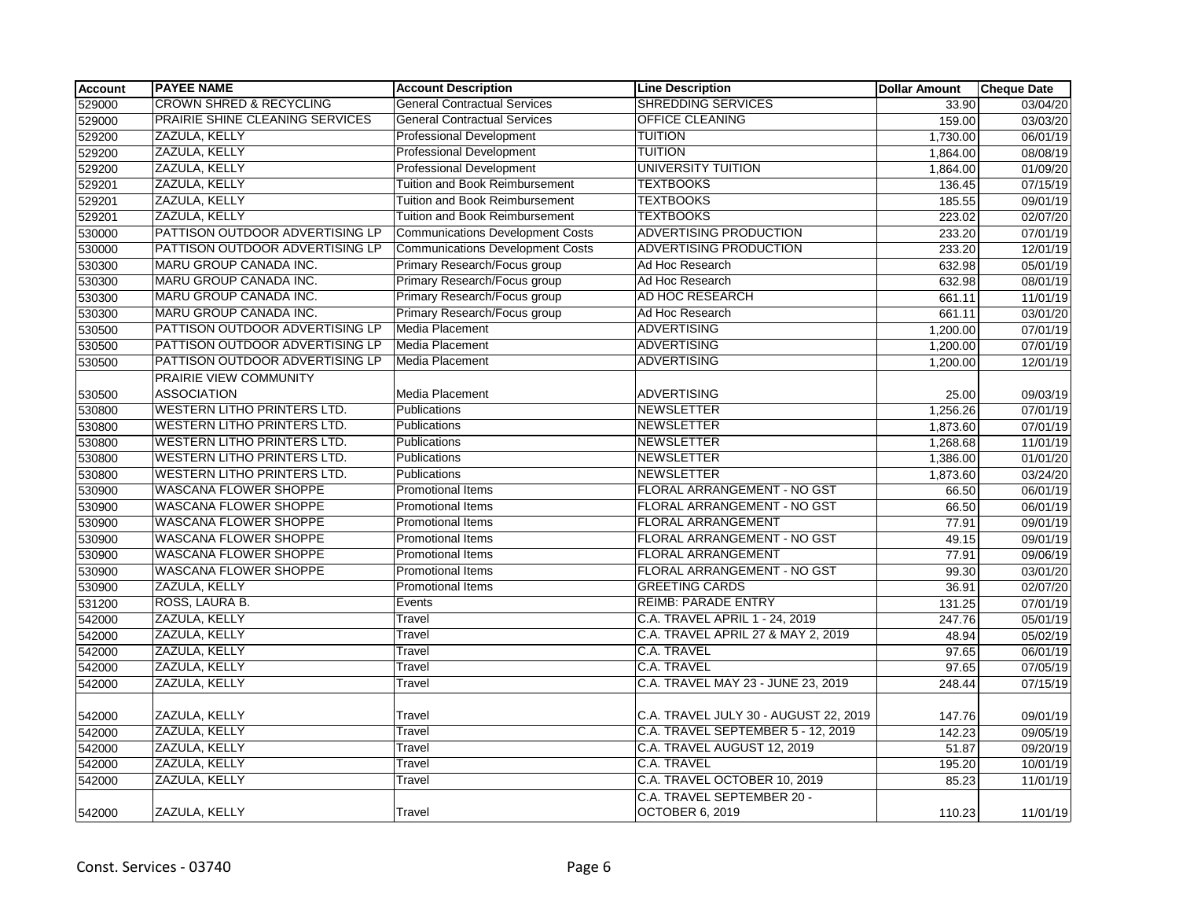| <b>Account</b> | <b>PAYEE NAME</b>                  | <b>Account Description</b>              | <b>Line Description</b>               | <b>Dollar Amount</b> | <b>Cheque Date</b> |
|----------------|------------------------------------|-----------------------------------------|---------------------------------------|----------------------|--------------------|
| 529000         | <b>CROWN SHRED &amp; RECYCLING</b> | <b>General Contractual Services</b>     | <b>SHREDDING SERVICES</b>             | 33.90                | 03/04/20           |
| 529000         | PRAIRIE SHINE CLEANING SERVICES    | <b>General Contractual Services</b>     | <b>OFFICE CLEANING</b>                | 159.00               | 03/03/20           |
| 529200         | ZAZULA, KELLY                      | <b>Professional Development</b>         | <b>TUITION</b>                        | 1,730.00             | 06/01/19           |
| 529200         | ZAZULA, KELLY                      | <b>Professional Development</b>         | <b>TUITION</b>                        | 1,864.00             | 08/08/19           |
| 529200         | ZAZULA, KELLY                      | <b>Professional Development</b>         | <b>UNIVERSITY TUITION</b>             | 1,864.00             | 01/09/20           |
| 529201         | ZAZULA, KELLY                      | <b>Tuition and Book Reimbursement</b>   | <b>TEXTBOOKS</b>                      | 136.45               | 07/15/19           |
| 529201         | ZAZULA, KELLY                      | Tuition and Book Reimbursement          | <b>TEXTBOOKS</b>                      | 185.55               | 09/01/19           |
| 529201         | ZAZULA, KELLY                      | Tuition and Book Reimbursement          | <b>TEXTBOOKS</b>                      | 223.02               | 02/07/20           |
| 530000         | PATTISON OUTDOOR ADVERTISING LP    | <b>Communications Development Costs</b> | <b>ADVERTISING PRODUCTION</b>         | 233.20               | 07/01/19           |
| 530000         | PATTISON OUTDOOR ADVERTISING LP    | <b>Communications Development Costs</b> | ADVERTISING PRODUCTION                | 233.20               | 12/01/19           |
| 530300         | <b>MARU GROUP CANADA INC.</b>      | Primary Research/Focus group            | Ad Hoc Research                       | 632.98               | 05/01/19           |
| 530300         | MARU GROUP CANADA INC.             | Primary Research/Focus group            | Ad Hoc Research                       | 632.98               | 08/01/19           |
| 530300         | MARU GROUP CANADA INC.             | Primary Research/Focus group            | AD HOC RESEARCH                       | 661.11               | 11/01/19           |
| 530300         | MARU GROUP CANADA INC.             | Primary Research/Focus group            | Ad Hoc Research                       | 661.11               | 03/01/20           |
| 530500         | PATTISON OUTDOOR ADVERTISING LP    | Media Placement                         | <b>ADVERTISING</b>                    | 1,200.00             | 07/01/19           |
| 530500         | PATTISON OUTDOOR ADVERTISING LP    | Media Placement                         | <b>ADVERTISING</b>                    | 1,200.00             | 07/01/19           |
| 530500         | PATTISON OUTDOOR ADVERTISING LP    | Media Placement                         | <b>ADVERTISING</b>                    | 1,200.00             | 12/01/19           |
|                | PRAIRIE VIEW COMMUNITY             |                                         |                                       |                      |                    |
| 530500         | <b>ASSOCIATION</b>                 | Media Placement                         | <b>ADVERTISING</b>                    | 25.00                | 09/03/19           |
| 530800         | <b>WESTERN LITHO PRINTERS LTD.</b> | Publications                            | <b>NEWSLETTER</b>                     | 1,256.26             | 07/01/19           |
| 530800         | <b>WESTERN LITHO PRINTERS LTD.</b> | Publications                            | <b>NEWSLETTER</b>                     | 1,873.60             | 07/01/19           |
| 530800         | WESTERN LITHO PRINTERS LTD.        | Publications                            | <b>NEWSLETTER</b>                     | 1,268.68             | 11/01/19           |
| 530800         | <b>WESTERN LITHO PRINTERS LTD.</b> | Publications                            | <b>NEWSLETTER</b>                     | 1,386.00             | 01/01/20           |
| 530800         | WESTERN LITHO PRINTERS LTD.        | <b>Publications</b>                     | <b>NEWSLETTER</b>                     | 1,873.60             | 03/24/20           |
| 530900         | <b>WASCANA FLOWER SHOPPE</b>       | Promotional Items                       | FLORAL ARRANGEMENT - NO GST           | 66.50                | 06/01/19           |
| 530900         | <b>WASCANA FLOWER SHOPPE</b>       | Promotional Items                       | FLORAL ARRANGEMENT - NO GST           | 66.50                | 06/01/19           |
| 530900         | <b>WASCANA FLOWER SHOPPE</b>       | <b>Promotional Items</b>                | <b>FLORAL ARRANGEMENT</b>             | 77.91                | 09/01/19           |
| 530900         | WASCANA FLOWER SHOPPE              | <b>Promotional Items</b>                | FLORAL ARRANGEMENT - NO GST           | 49.15                | 09/01/19           |
| 530900         | <b>WASCANA FLOWER SHOPPE</b>       | Promotional Items                       | <b>FLORAL ARRANGEMENT</b>             | 77.91                | 09/06/19           |
| 530900         | <b>WASCANA FLOWER SHOPPE</b>       | Promotional Items                       | FLORAL ARRANGEMENT - NO GST           | 99.30                | 03/01/20           |
| 530900         | ZAZULA, KELLY                      | Promotional Items                       | <b>GREETING CARDS</b>                 | 36.91                | 02/07/20           |
| 531200         | ROSS, LAURA B.                     | Events                                  | <b>REIMB: PARADE ENTRY</b>            | 131.25               | 07/01/19           |
| 542000         | ZAZULA, KELLY                      | Travel                                  | C.A. TRAVEL APRIL 1 - 24, 2019        | 247.76               | 05/01/19           |
| 542000         | ZAZULA, KELLY                      | Travel                                  | C.A. TRAVEL APRIL 27 & MAY 2, 2019    | 48.94                | 05/02/19           |
| 542000         | ZAZULA, KELLY                      | Travel                                  | C.A. TRAVEL                           | 97.65                | 06/01/19           |
| 542000         | ZAZULA, KELLY                      | Travel                                  | <b>C.A. TRAVEL</b>                    | 97.65                | 07/05/19           |
| 542000         | ZAZULA, KELLY                      | Travel                                  | C.A. TRAVEL MAY 23 - JUNE 23, 2019    | 248.44               | 07/15/19           |
|                |                                    |                                         |                                       |                      |                    |
| 542000         | ZAZULA, KELLY                      | Travel                                  | C.A. TRAVEL JULY 30 - AUGUST 22, 2019 | 147.76               | 09/01/19           |
| 542000         | ZAZULA, KELLY                      | Travel                                  | C.A. TRAVEL SEPTEMBER 5 - 12, 2019    | 142.23               | 09/05/19           |
| 542000         | ZAZULA, KELLY                      | Travel                                  | C.A. TRAVEL AUGUST 12, 2019           | 51.87                | 09/20/19           |
| 542000         | ZAZULA, KELLY                      | Travel                                  | C.A. TRAVEL                           | 195.20               | 10/01/19           |
| 542000         | ZAZULA, KELLY                      | Travel                                  | C.A. TRAVEL OCTOBER 10, 2019          | 85.23                | 11/01/19           |
|                |                                    |                                         | C.A. TRAVEL SEPTEMBER 20 -            |                      |                    |
| 542000         | ZAZULA, KELLY                      | Travel                                  | <b>OCTOBER 6, 2019</b>                | 110.23               | 11/01/19           |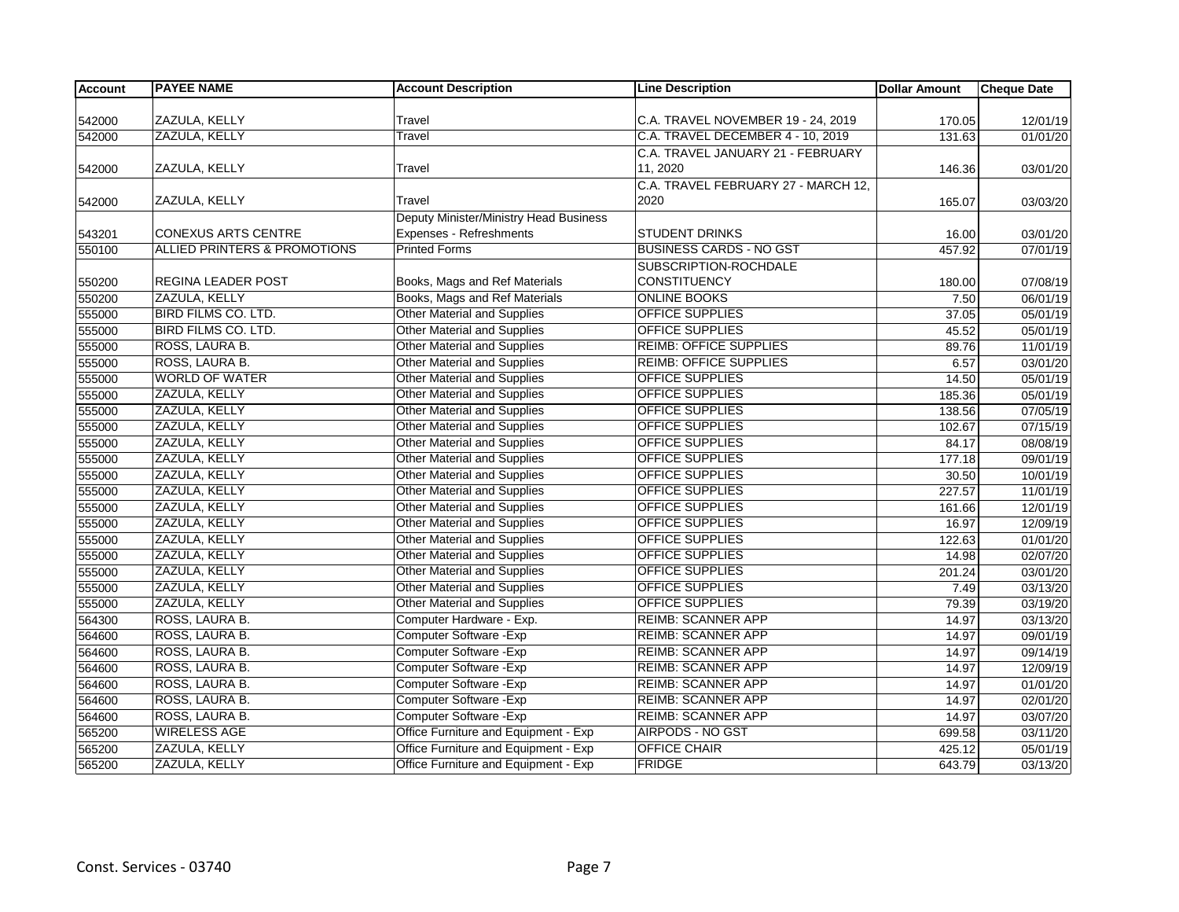| <b>Account</b> | <b>PAYEE NAME</b>            | <b>Account Description</b>             | <b>Line Description</b>             | <b>Dollar Amount</b> | <b>Cheque Date</b> |
|----------------|------------------------------|----------------------------------------|-------------------------------------|----------------------|--------------------|
|                |                              |                                        |                                     |                      |                    |
| 542000         | ZAZULA, KELLY                | Travel                                 | C.A. TRAVEL NOVEMBER 19 - 24, 2019  | 170.05               | 12/01/19           |
| 542000         | ZAZULA, KELLY                | Travel                                 | C.A. TRAVEL DECEMBER 4 - 10, 2019   | 131.63               | 01/01/20           |
|                |                              |                                        | C.A. TRAVEL JANUARY 21 - FEBRUARY   |                      |                    |
| 542000         | ZAZULA, KELLY                | Travel                                 | 11, 2020                            | 146.36               | 03/01/20           |
|                |                              |                                        | C.A. TRAVEL FEBRUARY 27 - MARCH 12, |                      |                    |
| 542000         | ZAZULA, KELLY                | Travel                                 | 2020                                | 165.07               | 03/03/20           |
|                |                              | Deputy Minister/Ministry Head Business |                                     |                      |                    |
| 543201         | <b>CONEXUS ARTS CENTRE</b>   | Expenses - Refreshments                | <b>STUDENT DRINKS</b>               | 16.00                | 03/01/20           |
| 550100         | ALLIED PRINTERS & PROMOTIONS | <b>Printed Forms</b>                   | <b>BUSINESS CARDS - NO GST</b>      | 457.92               | 07/01/19           |
|                |                              |                                        | SUBSCRIPTION-ROCHDALE               |                      |                    |
| 550200         | REGINA LEADER POST           | Books, Mags and Ref Materials          | <b>CONSTITUENCY</b>                 | 180.00               | 07/08/19           |
| 550200         | ZAZULA, KELLY                | Books, Mags and Ref Materials          | <b>ONLINE BOOKS</b>                 | 7.50                 | 06/01/19           |
| 555000         | <b>BIRD FILMS CO. LTD.</b>   | <b>Other Material and Supplies</b>     | <b>OFFICE SUPPLIES</b>              | 37.05                | 05/01/19           |
| 555000         | <b>BIRD FILMS CO. LTD.</b>   | Other Material and Supplies            | <b>OFFICE SUPPLIES</b>              | 45.52                | 05/01/19           |
| 555000         | ROSS, LAURA B.               | <b>Other Material and Supplies</b>     | <b>REIMB: OFFICE SUPPLIES</b>       | 89.76                | 11/01/19           |
| 555000         | ROSS, LAURA B.               | Other Material and Supplies            | <b>REIMB: OFFICE SUPPLIES</b>       | 6.57                 | 03/01/20           |
| 555000         | <b>WORLD OF WATER</b>        | <b>Other Material and Supplies</b>     | <b>OFFICE SUPPLIES</b>              | 14.50                | 05/01/19           |
| 555000         | ZAZULA, KELLY                | Other Material and Supplies            | <b>OFFICE SUPPLIES</b>              | 185.36               | 05/01/19           |
| 555000         | ZAZULA, KELLY                | Other Material and Supplies            | OFFICE SUPPLIES                     | 138.56               | 07/05/19           |
| 555000         | ZAZULA, KELLY                | <b>Other Material and Supplies</b>     | <b>OFFICE SUPPLIES</b>              | 102.67               | 07/15/19           |
| 555000         | ZAZULA, KELLY                | Other Material and Supplies            | <b>OFFICE SUPPLIES</b>              | 84.17                | 08/08/19           |
| 555000         | ZAZULA, KELLY                | Other Material and Supplies            | <b>OFFICE SUPPLIES</b>              | 177.18               | 09/01/19           |
| 555000         | ZAZULA, KELLY                | <b>Other Material and Supplies</b>     | OFFICE SUPPLIES                     | 30.50                | 10/01/19           |
| 555000         | ZAZULA, KELLY                | <b>Other Material and Supplies</b>     | <b>OFFICE SUPPLIES</b>              | 227.57               | 11/01/19           |
| 555000         | ZAZULA, KELLY                | <b>Other Material and Supplies</b>     | OFFICE SUPPLIES                     | 161.66               | 12/01/19           |
| 555000         | ZAZULA, KELLY                | <b>Other Material and Supplies</b>     | <b>OFFICE SUPPLIES</b>              | 16.97                | 12/09/19           |
| 555000         | ZAZULA, KELLY                | <b>Other Material and Supplies</b>     | <b>OFFICE SUPPLIES</b>              | 122.63               | 01/01/20           |
| 555000         | ZAZULA, KELLY                | Other Material and Supplies            | <b>OFFICE SUPPLIES</b>              | 14.98                | 02/07/20           |
| 555000         | ZAZULA, KELLY                | Other Material and Supplies            | OFFICE SUPPLIES                     | 201.24               | 03/01/20           |
| 555000         | ZAZULA, KELLY                | <b>Other Material and Supplies</b>     | <b>OFFICE SUPPLIES</b>              | 7.49                 | 03/13/20           |
| 555000         | ZAZULA, KELLY                | Other Material and Supplies            | <b>OFFICE SUPPLIES</b>              | 79.39                | 03/19/20           |
| 564300         | ROSS, LAURA B.               | Computer Hardware - Exp.               | <b>REIMB: SCANNER APP</b>           | 14.97                | 03/13/20           |
| 564600         | ROSS, LAURA B.               | Computer Software - Exp                | <b>REIMB: SCANNER APP</b>           | 14.97                | 09/01/19           |
| 564600         | ROSS, LAURA B.               | Computer Software - Exp                | <b>REIMB: SCANNER APP</b>           | 14.97                | 09/14/19           |
| 564600         | ROSS, LAURA B.               | Computer Software - Exp                | <b>REIMB: SCANNER APP</b>           | 14.97                | 12/09/19           |
| 564600         | ROSS, LAURA B.               | Computer Software - Exp                | <b>REIMB: SCANNER APP</b>           | 14.97                | 01/01/20           |
| 564600         | ROSS, LAURA B.               | Computer Software - Exp                | <b>REIMB: SCANNER APP</b>           | 14.97                | 02/01/20           |
| 564600         | ROSS, LAURA B.               | Computer Software - Exp                | <b>REIMB: SCANNER APP</b>           | 14.97                | 03/07/20           |
| 565200         | <b>WIRELESS AGE</b>          | Office Furniture and Equipment - Exp   | AIRPODS - NO GST                    | 699.58               | 03/11/20           |
| 565200         | ZAZULA, KELLY                | Office Furniture and Equipment - Exp   | <b>OFFICE CHAIR</b>                 | 425.12               | 05/01/19           |
| 565200         | ZAZULA, KELLY                | Office Furniture and Equipment - Exp   | <b>FRIDGE</b>                       | 643.79               | 03/13/20           |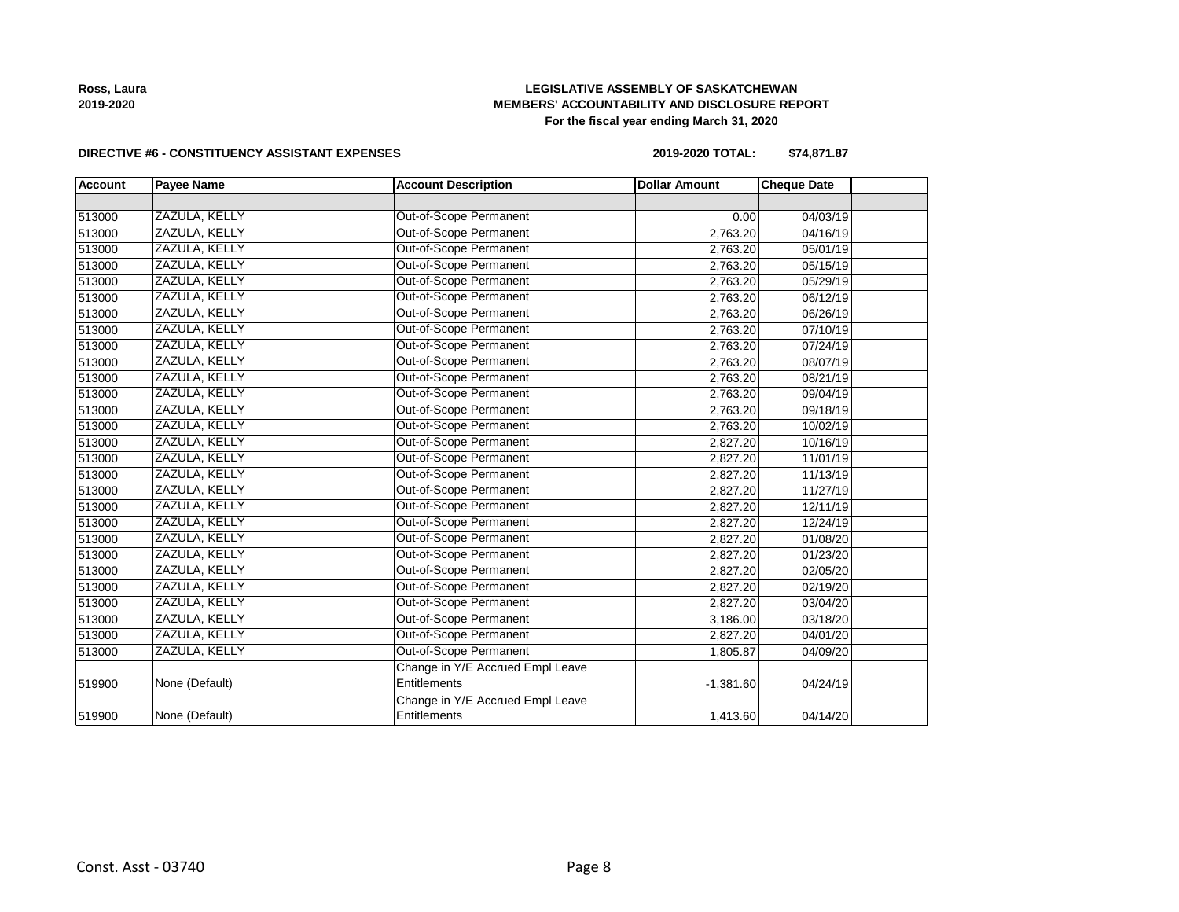#### **DIRECTIVE #6 - CONSTITUENCY ASSISTANT EXPENSES**

# **LEGISLATIVE ASSEMBLY OF SASKATCHEWAN MEMBERS' ACCOUNTABILITY AND DISCLOSURE REPORT For the fiscal year ending March 31, 2020**

**2019-2020 TOTAL: \$74,871.87**

| <b>Account</b> | <b>Payee Name</b> | <b>Account Description</b>       | <b>Dollar Amount</b> | <b>Cheque Date</b> |  |
|----------------|-------------------|----------------------------------|----------------------|--------------------|--|
|                |                   |                                  |                      |                    |  |
| 513000         | ZAZULA, KELLY     | Out-of-Scope Permanent           | 0.00                 | 04/03/19           |  |
| 513000         | ZAZULA, KELLY     | Out-of-Scope Permanent           | 2,763.20             | 04/16/19           |  |
| 513000         | ZAZULA, KELLY     | Out-of-Scope Permanent           | 2,763.20             | 05/01/19           |  |
| 513000         | ZAZULA, KELLY     | Out-of-Scope Permanent           | 2,763.20             | 05/15/19           |  |
| 513000         | ZAZULA, KELLY     | Out-of-Scope Permanent           | 2,763.20             | 05/29/19           |  |
| 513000         | ZAZULA, KELLY     | Out-of-Scope Permanent           | 2,763.20             | 06/12/19           |  |
| 513000         | ZAZULA, KELLY     | Out-of-Scope Permanent           | 2,763.20             | 06/26/19           |  |
| 513000         | ZAZULA, KELLY     | Out-of-Scope Permanent           | 2,763.20             | 07/10/19           |  |
| 513000         | ZAZULA, KELLY     | Out-of-Scope Permanent           | 2,763.20             | 07/24/19           |  |
| 513000         | ZAZULA, KELLY     | Out-of-Scope Permanent           | 2,763.20             | 08/07/19           |  |
| 513000         | ZAZULA, KELLY     | Out-of-Scope Permanent           | 2,763.20             | 08/21/19           |  |
| 513000         | ZAZULA, KELLY     | Out-of-Scope Permanent           | 2,763.20             | 09/04/19           |  |
| 513000         | ZAZULA, KELLY     | Out-of-Scope Permanent           | 2,763.20             | 09/18/19           |  |
| 513000         | ZAZULA, KELLY     | Out-of-Scope Permanent           | 2,763.20             | 10/02/19           |  |
| 513000         | ZAZULA, KELLY     | Out-of-Scope Permanent           | 2,827.20             | 10/16/19           |  |
| 513000         | ZAZULA, KELLY     | Out-of-Scope Permanent           | 2,827.20             | 11/01/19           |  |
| 513000         | ZAZULA, KELLY     | Out-of-Scope Permanent           | 2,827.20             | 11/13/19           |  |
| 513000         | ZAZULA, KELLY     | Out-of-Scope Permanent           | 2,827.20             | 11/27/19           |  |
| 513000         | ZAZULA, KELLY     | Out-of-Scope Permanent           | 2,827.20             | 12/11/19           |  |
| 513000         | ZAZULA, KELLY     | Out-of-Scope Permanent           | 2,827.20             | 12/24/19           |  |
| 513000         | ZAZULA, KELLY     | Out-of-Scope Permanent           | 2,827.20             | 01/08/20           |  |
| 513000         | ZAZULA, KELLY     | Out-of-Scope Permanent           | 2,827.20             | 01/23/20           |  |
| 513000         | ZAZULA, KELLY     | Out-of-Scope Permanent           | 2,827.20             | 02/05/20           |  |
| 513000         | ZAZULA, KELLY     | Out-of-Scope Permanent           | 2,827.20             | 02/19/20           |  |
| 513000         | ZAZULA, KELLY     | Out-of-Scope Permanent           | 2,827.20             | 03/04/20           |  |
| 513000         | ZAZULA, KELLY     | Out-of-Scope Permanent           | 3,186.00             | 03/18/20           |  |
| 513000         | ZAZULA, KELLY     | Out-of-Scope Permanent           | 2,827.20             | 04/01/20           |  |
| 513000         | ZAZULA, KELLY     | Out-of-Scope Permanent           | 1,805.87             | 04/09/20           |  |
|                |                   | Change in Y/E Accrued Empl Leave |                      |                    |  |
| 519900         | None (Default)    | Entitlements                     | $-1,381.60$          | 04/24/19           |  |
|                |                   | Change in Y/E Accrued Empl Leave |                      |                    |  |
| 519900         | None (Default)    | Entitlements                     | 1,413.60             | 04/14/20           |  |
|                |                   |                                  |                      |                    |  |